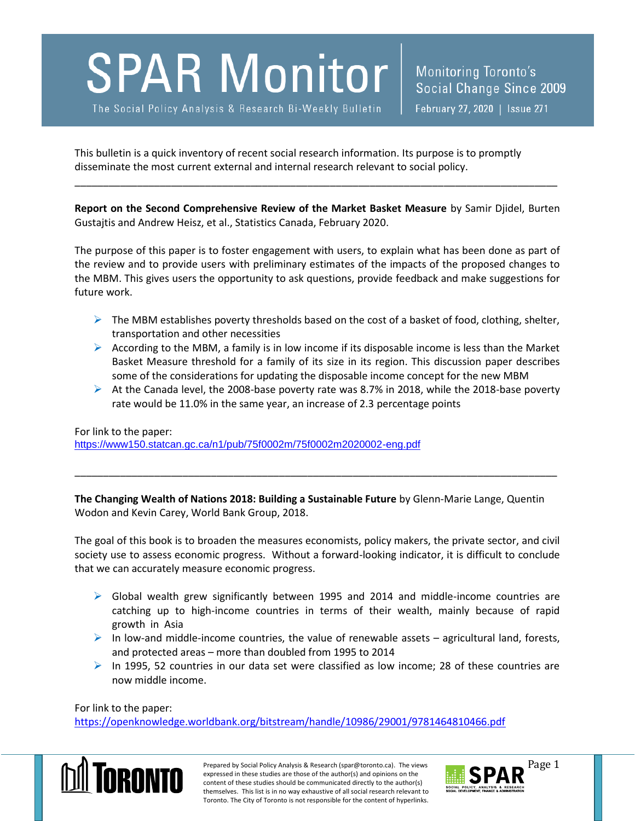## **SPAR Monitor**

The Social Policy Analysis & Research Bi-Weekly Bulletin

This bulletin is a quick inventory of recent social research information. Its purpose is to promptly disseminate the most current external and internal research relevant to social policy.

**Report on the Second Comprehensive Review of the Market Basket Measure** by Samir Djidel, Burten Gustajtis and Andrew Heisz, et al., Statistics Canada, February 2020.

\_\_\_\_\_\_\_\_\_\_\_\_\_\_\_\_\_\_\_\_\_\_\_\_\_\_\_\_\_\_\_\_\_\_\_\_\_\_\_\_\_\_\_\_\_\_\_\_\_\_\_\_\_\_\_\_\_\_\_\_\_\_\_\_\_\_\_\_\_\_\_\_\_\_\_\_\_\_\_\_\_\_\_\_\_

The purpose of this paper is to foster engagement with users, to explain what has been done as part of the review and to provide users with preliminary estimates of the impacts of the proposed changes to the MBM. This gives users the opportunity to ask questions, provide feedback and make suggestions for future work.

- $\triangleright$  The MBM establishes poverty thresholds based on the cost of a basket of food, clothing, shelter, transportation and other necessities
- $\triangleright$  According to the MBM, a family is in low income if its disposable income is less than the Market Basket Measure threshold for a family of its size in its region. This discussion paper describes some of the considerations for updating the disposable income concept for the new MBM
- $\triangleright$  At the Canada level, the 2008-base poverty rate was 8.7% in 2018, while the 2018-base poverty rate would be 11.0% in the same year, an increase of 2.3 percentage points

For link to the paper: <https://www150.statcan.gc.ca/n1/pub/75f0002m/75f0002m2020002-eng.pdf>

**The Changing Wealth of Nations 2018: Building a Sustainable Future** by Glenn-Marie Lange, Quentin Wodon and Kevin Carey, World Bank Group, 2018.

\_\_\_\_\_\_\_\_\_\_\_\_\_\_\_\_\_\_\_\_\_\_\_\_\_\_\_\_\_\_\_\_\_\_\_\_\_\_\_\_\_\_\_\_\_\_\_\_\_\_\_\_\_\_\_\_\_\_\_\_\_\_\_\_\_\_\_\_\_\_\_\_\_\_\_\_\_\_\_\_\_\_\_\_\_

The goal of this book is to broaden the measures economists, policy makers, the private sector, and civil society use to assess economic progress. Without a forward-looking indicator, it is difficult to conclude that we can accurately measure economic progress.

- $\triangleright$  Global wealth grew significantly between 1995 and 2014 and middle-income countries are catching up to high-income countries in terms of their wealth, mainly because of rapid growth in Asia
- $\triangleright$  In low-and middle-income countries, the value of renewable assets agricultural land, forests, and protected areas – more than doubled from 1995 to 2014
- $\triangleright$  In 1995, 52 countries in our data set were classified as low income; 28 of these countries are now middle income.

For link to the paper:

<https://openknowledge.worldbank.org/bitstream/handle/10986/29001/9781464810466.pdf>



Prepared by Social Policy Analysis & Research (spar@toronto.ca). The views Page 1 expressed in these studies are those of the author(s) and opinions on the content of these studies should be communicated directly to the author(s) themselves. This list is in no way exhaustive of all social research relevant to Toronto. The City of Toronto is not responsible for the content of hyperlinks.

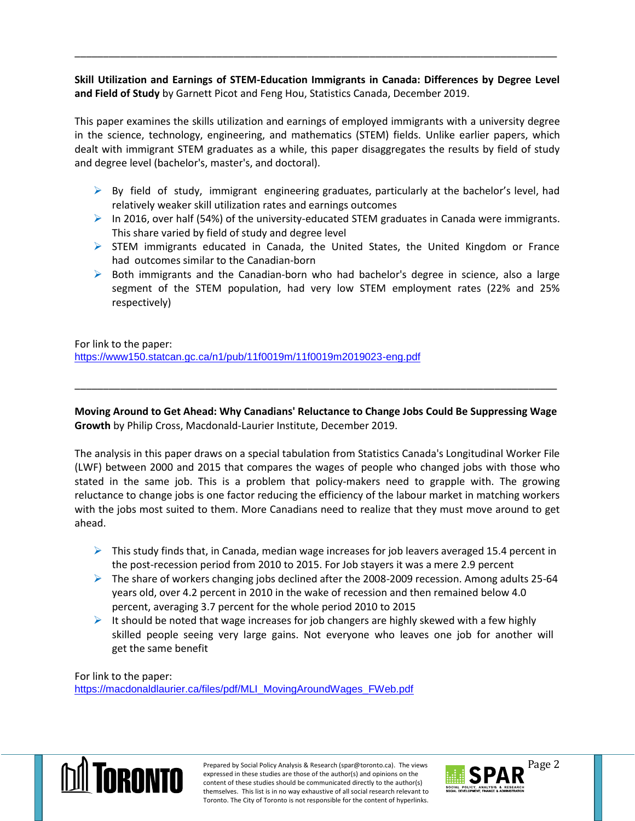**Skill Utilization and Earnings of STEM-Education Immigrants in Canada: Differences by Degree Level and Field of Study** by Garnett Picot and Feng Hou, Statistics Canada, December 2019.

\_\_\_\_\_\_\_\_\_\_\_\_\_\_\_\_\_\_\_\_\_\_\_\_\_\_\_\_\_\_\_\_\_\_\_\_\_\_\_\_\_\_\_\_\_\_\_\_\_\_\_\_\_\_\_\_\_\_\_\_\_\_\_\_\_\_\_\_\_\_\_\_\_\_\_\_\_\_\_\_\_\_\_\_\_

This paper examines the skills utilization and earnings of employed immigrants with a university degree in the science, technology, engineering, and mathematics (STEM) fields. Unlike earlier papers, which dealt with immigrant STEM graduates as a while, this paper disaggregates the results by field of study and degree level (bachelor's, master's, and doctoral).

- $\triangleright$  By field of study, immigrant engineering graduates, particularly at the bachelor's level, had relatively weaker skill utilization rates and earnings outcomes
- In 2016, over half (54%) of the university-educated STEM graduates in Canada were immigrants. This share varied by field of study and degree level
- $\triangleright$  STEM immigrants educated in Canada, the United States, the United Kingdom or France had outcomes similar to the Canadian-born
- $\triangleright$  Both immigrants and the Canadian-born who had bachelor's degree in science, also a large segment of the STEM population, had very low STEM employment rates (22% and 25% respectively)

For link to the paper: <https://www150.statcan.gc.ca/n1/pub/11f0019m/11f0019m2019023-eng.pdf>

**Moving Around to Get Ahead: Why Canadians' Reluctance to Change Jobs Could Be Suppressing Wage Growth** by Philip Cross, Macdonald-Laurier Institute, December 2019.

\_\_\_\_\_\_\_\_\_\_\_\_\_\_\_\_\_\_\_\_\_\_\_\_\_\_\_\_\_\_\_\_\_\_\_\_\_\_\_\_\_\_\_\_\_\_\_\_\_\_\_\_\_\_\_\_\_\_\_\_\_\_\_\_\_\_\_\_\_\_\_\_\_\_\_\_\_\_\_\_\_\_\_\_\_

The analysis in this paper draws on a special tabulation from Statistics Canada's Longitudinal Worker File (LWF) between 2000 and 2015 that compares the wages of people who changed jobs with those who stated in the same job. This is a problem that policy-makers need to grapple with. The growing reluctance to change jobs is one factor reducing the efficiency of the labour market in matching workers with the jobs most suited to them. More Canadians need to realize that they must move around to get ahead.

- $\triangleright$  This study finds that, in Canada, median wage increases for job leavers averaged 15.4 percent in the post-recession period from 2010 to 2015. For Job stayers it was a mere 2.9 percent
- $\triangleright$  The share of workers changing jobs declined after the 2008-2009 recession. Among adults 25-64 years old, over 4.2 percent in 2010 in the wake of recession and then remained below 4.0 percent, averaging 3.7 percent for the whole period 2010 to 2015
- It should be noted that wage increases for job changers are highly skewed with a few highly skilled people seeing very large gains. Not everyone who leaves one job for another will get the same benefit

For link to the paper: [https://macdonaldlaurier.ca/files/pdf/MLI\\_MovingAroundWages\\_FWeb.pdf](https://macdonaldlaurier.ca/files/pdf/MLI_MovingAroundWages_FWeb.pdf)



Prepared by Social Policy Analysis & Research (spar@toronto.ca). The views Page 2 expressed in these studies are those of the author(s) and opinions on the content of these studies should be communicated directly to the author(s) themselves. This list is in no way exhaustive of all social research relevant to Toronto. The City of Toronto is not responsible for the content of hyperlinks.